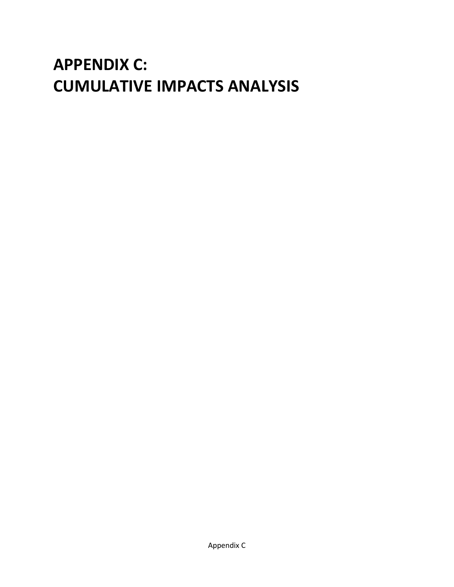# **APPENDIX C: CUMULATIVE IMPACTS ANALYSIS**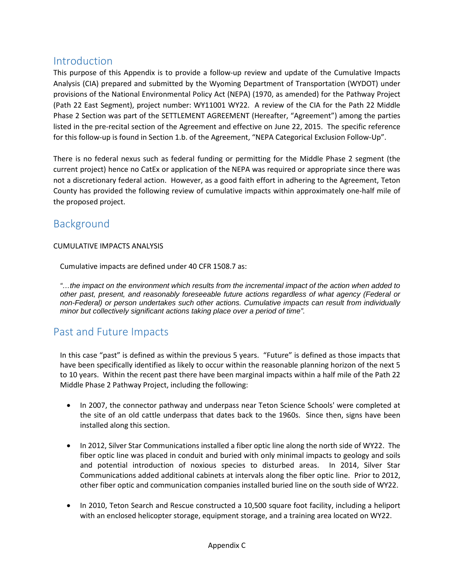## Introduction

This purpose of this Appendix is to provide a follow-up review and update of the Cumulative Impacts Analysis (CIA) prepared and submitted by the Wyoming Department of Transportation (WYDOT) under provisions of the National Environmental Policy Act (NEPA) (1970, as amended) for the Pathway Project (Path 22 East Segment), project number: WY11001 WY22. A review of the CIA for the Path 22 Middle Phase 2 Section was part of the SETTLEMENT AGREEMENT (Hereafter, "Agreement") among the parties listed in the pre-recital section of the Agreement and effective on June 22, 2015. The specific reference for this follow-up is found in Section 1.b. of the Agreement, "NEPA Categorical Exclusion Follow-Up".

There is no federal nexus such as federal funding or permitting for the Middle Phase 2 segment (the current project) hence no CatEx or application of the NEPA was required or appropriate since there was not a discretionary federal action. However, as a good faith effort in adhering to the Agreement, Teton County has provided the following review of cumulative impacts within approximately one-half mile of the proposed project.

# Background

#### CUMULATIVE IMPACTS ANALYSIS

Cumulative impacts are defined under 40 CFR 1508.7 as:

*"…the impact on the environment which results from the incremental impact of the action when added to other past, present, and reasonably foreseeable future actions regardless of what agency (Federal or non-Federal) or person undertakes such other actions. Cumulative impacts can result from individually minor but collectively significant actions taking place over a period of time".*

## Past and Future Impacts

In this case "past" is defined as within the previous 5 years. "Future" is defined as those impacts that have been specifically identified as likely to occur within the reasonable planning horizon of the next 5 to 10 years. Within the recent past there have been marginal impacts within a half mile of the Path 22 Middle Phase 2 Pathway Project, including the following:

- In 2007, the connector pathway and underpass near Teton Science Schools' were completed at the site of an old cattle underpass that dates back to the 1960s. Since then, signs have been installed along this section.
- In 2012, Silver Star Communications installed a fiber optic line along the north side of WY22. The fiber optic line was placed in conduit and buried with only minimal impacts to geology and soils and potential introduction of noxious species to disturbed areas. In 2014, Silver Star Communications added additional cabinets at intervals along the fiber optic line. Prior to 2012, other fiber optic and communication companies installed buried line on the south side of WY22.
- In 2010, Teton Search and Rescue constructed a 10,500 square foot facility, including a heliport with an enclosed helicopter storage, equipment storage, and a training area located on WY22.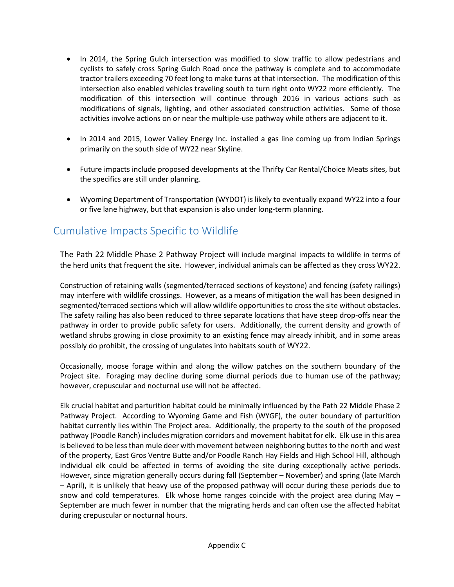- In 2014, the Spring Gulch intersection was modified to slow traffic to allow pedestrians and cyclists to safely cross Spring Gulch Road once the pathway is complete and to accommodate tractor trailers exceeding 70 feet long to make turns at that intersection. The modification of this intersection also enabled vehicles traveling south to turn right onto WY22 more efficiently. The modification of this intersection will continue through 2016 in various actions such as modifications of signals, lighting, and other associated construction activities. Some of those activities involve actions on or near the multiple-use pathway while others are adjacent to it.
- In 2014 and 2015, Lower Valley Energy Inc. installed a gas line coming up from Indian Springs primarily on the south side of WY22 near Skyline.
- Future impacts include proposed developments at the Thrifty Car Rental/Choice Meats sites, but the specifics are still under planning.
- Wyoming Department of Transportation (WYDOT) is likely to eventually expand WY22 into a four or five lane highway, but that expansion is also under long-term planning.

# Cumulative Impacts Specific to Wildlife

The Path 22 Middle Phase 2 Pathway Project will include marginal impacts to wildlife in terms of the herd units that frequent the site. However, individual animals can be affected as they cross WY22.

Construction of retaining walls (segmented/terraced sections of keystone) and fencing (safety railings) may interfere with wildlife crossings. However, as a means of mitigation the wall has been designed in segmented/terraced sections which will allow wildlife opportunities to cross the site without obstacles. The safety railing has also been reduced to three separate locations that have steep drop-offs near the pathway in order to provide public safety for users. Additionally, the current density and growth of wetland shrubs growing in close proximity to an existing fence may already inhibit, and in some areas possibly do prohibit, the crossing of ungulates into habitats south of WY22.

Occasionally, moose forage within and along the willow patches on the southern boundary of the Project site. Foraging may decline during some diurnal periods due to human use of the pathway; however, crepuscular and nocturnal use will not be affected.

Elk crucial habitat and parturition habitat could be minimally influenced by the Path 22 Middle Phase 2 Pathway Project. According to Wyoming Game and Fish (WYGF), the outer boundary of parturition habitat currently lies within The Project area. Additionally, the property to the south of the proposed pathway (Poodle Ranch) includes migration corridors and movement habitat for elk. Elk use in this area is believed to be less than mule deer with movement between neighboring buttes to the north and west of the property, East Gros Ventre Butte and/or Poodle Ranch Hay Fields and High School Hill, although individual elk could be affected in terms of avoiding the site during exceptionally active periods. However, since migration generally occurs during fall (September – November) and spring (late March – April), it is unlikely that heavy use of the proposed pathway will occur during these periods due to snow and cold temperatures. Elk whose home ranges coincide with the project area during May – September are much fewer in number that the migrating herds and can often use the affected habitat during crepuscular or nocturnal hours.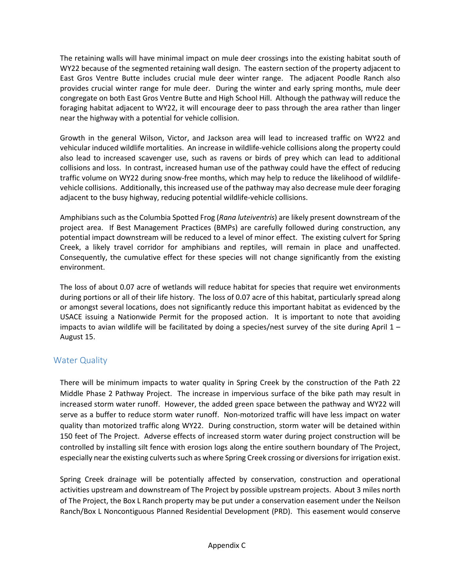The retaining walls will have minimal impact on mule deer crossings into the existing habitat south of WY22 because of the segmented retaining wall design. The eastern section of the property adjacent to East Gros Ventre Butte includes crucial mule deer winter range. The adjacent Poodle Ranch also provides crucial winter range for mule deer. During the winter and early spring months, mule deer congregate on both East Gros Ventre Butte and High School Hill. Although the pathway will reduce the foraging habitat adjacent to WY22, it will encourage deer to pass through the area rather than linger near the highway with a potential for vehicle collision.

Growth in the general Wilson, Victor, and Jackson area will lead to increased traffic on WY22 and vehicular induced wildlife mortalities. An increase in wildlife-vehicle collisions along the property could also lead to increased scavenger use, such as ravens or birds of prey which can lead to additional collisions and loss. In contrast, increased human use of the pathway could have the effect of reducing traffic volume on WY22 during snow-free months, which may help to reduce the likelihood of wildlifevehicle collisions. Additionally, this increased use of the pathway may also decrease mule deer foraging adjacent to the busy highway, reducing potential wildlife-vehicle collisions.

Amphibians such as the Columbia Spotted Frog (*Rana luteiventris*) are likely present downstream of the project area. If Best Management Practices (BMPs) are carefully followed during construction, any potential impact downstream will be reduced to a level of minor effect. The existing culvert for Spring Creek, a likely travel corridor for amphibians and reptiles, will remain in place and unaffected. Consequently, the cumulative effect for these species will not change significantly from the existing environment.

The loss of about 0.07 acre of wetlands will reduce habitat for species that require wet environments during portions or all of their life history. The loss of 0.07 acre of this habitat, particularly spread along or amongst several locations, does not significantly reduce this important habitat as evidenced by the USACE issuing a Nationwide Permit for the proposed action. It is important to note that avoiding impacts to avian wildlife will be facilitated by doing a species/nest survey of the site during April 1 – August 15.

#### Water Quality

There will be minimum impacts to water quality in Spring Creek by the construction of the Path 22 Middle Phase 2 Pathway Project. The increase in impervious surface of the bike path may result in increased storm water runoff. However, the added green space between the pathway and WY22 will serve as a buffer to reduce storm water runoff. Non-motorized traffic will have less impact on water quality than motorized traffic along WY22. During construction, storm water will be detained within 150 feet of The Project. Adverse effects of increased storm water during project construction will be controlled by installing silt fence with erosion logs along the entire southern boundary of The Project, especially near the existing culverts such as where Spring Creek crossing or diversions for irrigation exist.

Spring Creek drainage will be potentially affected by conservation, construction and operational activities upstream and downstream of The Project by possible upstream projects. About 3 miles north of The Project, the Box L Ranch property may be put under a conservation easement under the Neilson Ranch/Box L Noncontiguous Planned Residential Development (PRD). This easement would conserve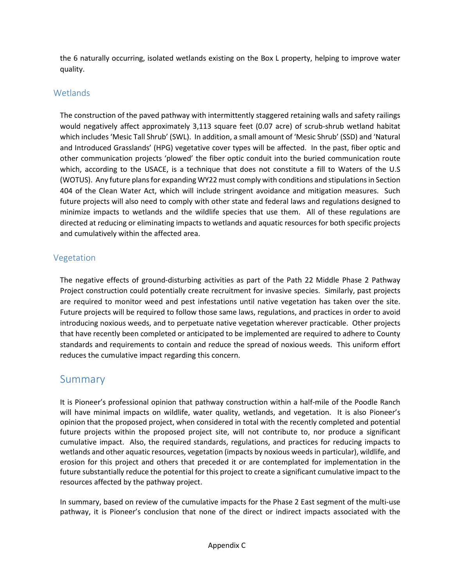the 6 naturally occurring, isolated wetlands existing on the Box L property, helping to improve water quality.

## **Wetlands**

The construction of the paved pathway with intermittently staggered retaining walls and safety railings would negatively affect approximately 3,113 square feet (0.07 acre) of scrub-shrub wetland habitat which includes 'Mesic Tall Shrub' (SWL). In addition, a small amount of 'Mesic Shrub' (SSD) and 'Natural and Introduced Grasslands' (HPG) vegetative cover types will be affected. In the past, fiber optic and other communication projects 'plowed' the fiber optic conduit into the buried communication route which, according to the USACE, is a technique that does not constitute a fill to Waters of the U.S (WOTUS). Any future plans for expanding WY22 must comply with conditions and stipulations in Section 404 of the Clean Water Act, which will include stringent avoidance and mitigation measures. Such future projects will also need to comply with other state and federal laws and regulations designed to minimize impacts to wetlands and the wildlife species that use them. All of these regulations are directed at reducing or eliminating impacts to wetlands and aquatic resources for both specific projects and cumulatively within the affected area.

### Vegetation

The negative effects of ground-disturbing activities as part of the Path 22 Middle Phase 2 Pathway Project construction could potentially create recruitment for invasive species. Similarly, past projects are required to monitor weed and pest infestations until native vegetation has taken over the site. Future projects will be required to follow those same laws, regulations, and practices in order to avoid introducing noxious weeds, and to perpetuate native vegetation wherever practicable. Other projects that have recently been completed or anticipated to be implemented are required to adhere to County standards and requirements to contain and reduce the spread of noxious weeds. This uniform effort reduces the cumulative impact regarding this concern.

## Summary

It is Pioneer's professional opinion that pathway construction within a half-mile of the Poodle Ranch will have minimal impacts on wildlife, water quality, wetlands, and vegetation. It is also Pioneer's opinion that the proposed project, when considered in total with the recently completed and potential future projects within the proposed project site, will not contribute to, nor produce a significant cumulative impact. Also, the required standards, regulations, and practices for reducing impacts to wetlands and other aquatic resources, vegetation (impacts by noxious weeds in particular), wildlife, and erosion for this project and others that preceded it or are contemplated for implementation in the future substantially reduce the potential for this project to create a significant cumulative impact to the resources affected by the pathway project.

In summary, based on review of the cumulative impacts for the Phase 2 East segment of the multi-use pathway, it is Pioneer's conclusion that none of the direct or indirect impacts associated with the